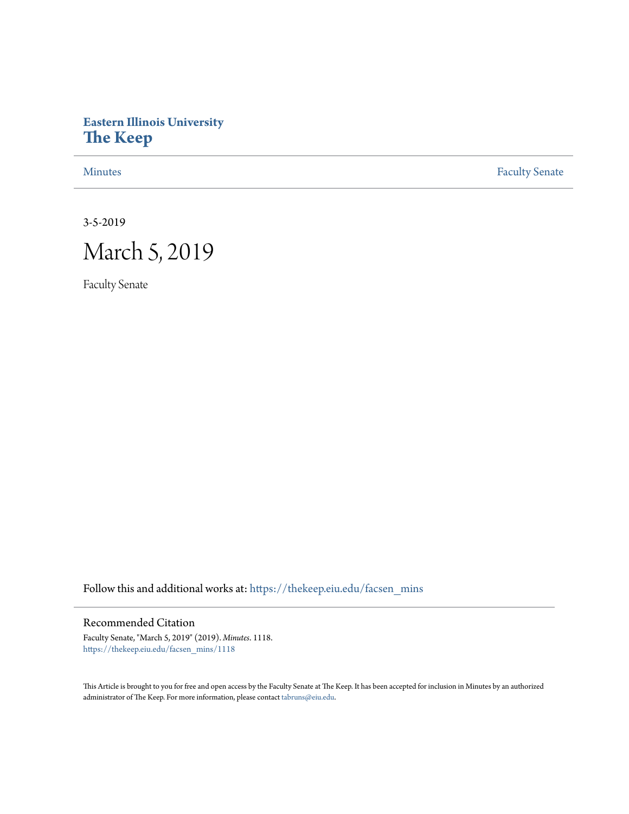## **Eastern Illinois University [The Keep](https://thekeep.eiu.edu?utm_source=thekeep.eiu.edu%2Ffacsen_mins%2F1118&utm_medium=PDF&utm_campaign=PDFCoverPages)**

[Minutes](https://thekeep.eiu.edu/facsen_mins?utm_source=thekeep.eiu.edu%2Ffacsen_mins%2F1118&utm_medium=PDF&utm_campaign=PDFCoverPages) **[Faculty Senate](https://thekeep.eiu.edu/fac_senate?utm_source=thekeep.eiu.edu%2Ffacsen_mins%2F1118&utm_medium=PDF&utm_campaign=PDFCoverPages)** 

3-5-2019

# March 5, 2019

Faculty Senate

Follow this and additional works at: [https://thekeep.eiu.edu/facsen\\_mins](https://thekeep.eiu.edu/facsen_mins?utm_source=thekeep.eiu.edu%2Ffacsen_mins%2F1118&utm_medium=PDF&utm_campaign=PDFCoverPages)

### Recommended Citation

Faculty Senate, "March 5, 2019" (2019). *Minutes*. 1118. [https://thekeep.eiu.edu/facsen\\_mins/1118](https://thekeep.eiu.edu/facsen_mins/1118?utm_source=thekeep.eiu.edu%2Ffacsen_mins%2F1118&utm_medium=PDF&utm_campaign=PDFCoverPages)

This Article is brought to you for free and open access by the Faculty Senate at The Keep. It has been accepted for inclusion in Minutes by an authorized administrator of The Keep. For more information, please contact [tabruns@eiu.edu.](mailto:tabruns@eiu.edu)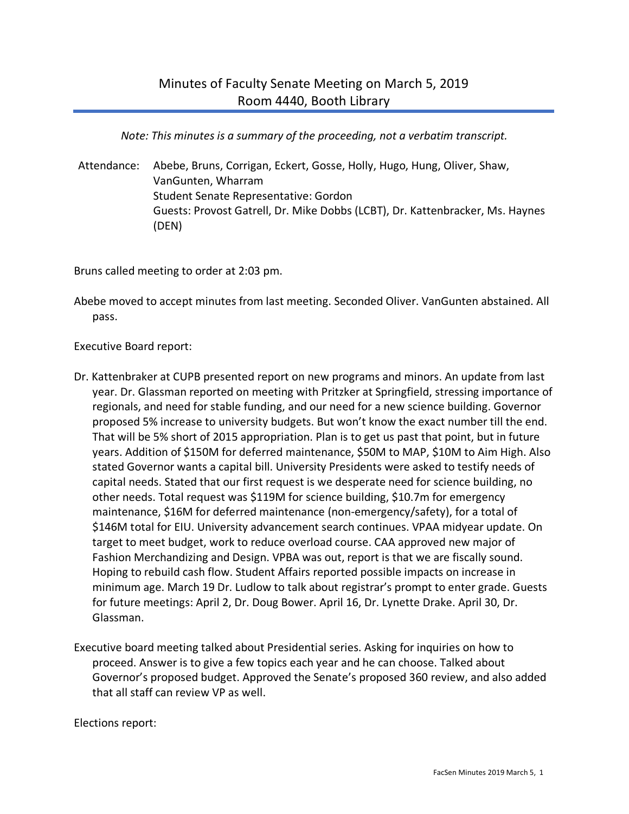*Note: This minutes is a summary of the proceeding, not a verbatim transcript.*

Attendance: Abebe, Bruns, Corrigan, Eckert, Gosse, Holly, Hugo, Hung, Oliver, Shaw, VanGunten, Wharram Student Senate Representative: Gordon Guests: Provost Gatrell, Dr. Mike Dobbs (LCBT), Dr. Kattenbracker, Ms. Haynes (DEN)

Bruns called meeting to order at 2:03 pm.

Abebe moved to accept minutes from last meeting. Seconded Oliver. VanGunten abstained. All pass.

Executive Board report:

- Dr. Kattenbraker at CUPB presented report on new programs and minors. An update from last year. Dr. Glassman reported on meeting with Pritzker at Springfield, stressing importance of regionals, and need for stable funding, and our need for a new science building. Governor proposed 5% increase to university budgets. But won't know the exact number till the end. That will be 5% short of 2015 appropriation. Plan is to get us past that point, but in future years. Addition of \$150M for deferred maintenance, \$50M to MAP, \$10M to Aim High. Also stated Governor wants a capital bill. University Presidents were asked to testify needs of capital needs. Stated that our first request is we desperate need for science building, no other needs. Total request was \$119M for science building, \$10.7m for emergency maintenance, \$16M for deferred maintenance (non-emergency/safety), for a total of \$146M total for EIU. University advancement search continues. VPAA midyear update. On target to meet budget, work to reduce overload course. CAA approved new major of Fashion Merchandizing and Design. VPBA was out, report is that we are fiscally sound. Hoping to rebuild cash flow. Student Affairs reported possible impacts on increase in minimum age. March 19 Dr. Ludlow to talk about registrar's prompt to enter grade. Guests for future meetings: April 2, Dr. Doug Bower. April 16, Dr. Lynette Drake. April 30, Dr. Glassman.
- Executive board meeting talked about Presidential series. Asking for inquiries on how to proceed. Answer is to give a few topics each year and he can choose. Talked about Governor's proposed budget. Approved the Senate's proposed 360 review, and also added that all staff can review VP as well.

Elections report: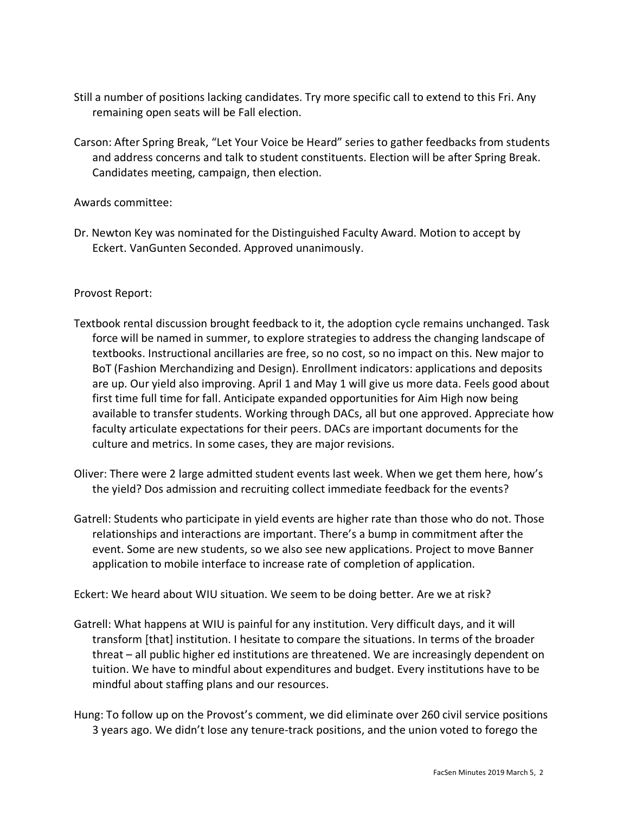- Still a number of positions lacking candidates. Try more specific call to extend to this Fri. Any remaining open seats will be Fall election.
- Carson: After Spring Break, "Let Your Voice be Heard" series to gather feedbacks from students and address concerns and talk to student constituents. Election will be after Spring Break. Candidates meeting, campaign, then election.

### Awards committee:

Dr. Newton Key was nominated for the Distinguished Faculty Award. Motion to accept by Eckert. VanGunten Seconded. Approved unanimously.

#### Provost Report:

- Textbook rental discussion brought feedback to it, the adoption cycle remains unchanged. Task force will be named in summer, to explore strategies to address the changing landscape of textbooks. Instructional ancillaries are free, so no cost, so no impact on this. New major to BoT (Fashion Merchandizing and Design). Enrollment indicators: applications and deposits are up. Our yield also improving. April 1 and May 1 will give us more data. Feels good about first time full time for fall. Anticipate expanded opportunities for Aim High now being available to transfer students. Working through DACs, all but one approved. Appreciate how faculty articulate expectations for their peers. DACs are important documents for the culture and metrics. In some cases, they are major revisions.
- Oliver: There were 2 large admitted student events last week. When we get them here, how's the yield? Dos admission and recruiting collect immediate feedback for the events?
- Gatrell: Students who participate in yield events are higher rate than those who do not. Those relationships and interactions are important. There's a bump in commitment after the event. Some are new students, so we also see new applications. Project to move Banner application to mobile interface to increase rate of completion of application.

Eckert: We heard about WIU situation. We seem to be doing better. Are we at risk?

- Gatrell: What happens at WIU is painful for any institution. Very difficult days, and it will transform [that] institution. I hesitate to compare the situations. In terms of the broader threat – all public higher ed institutions are threatened. We are increasingly dependent on tuition. We have to mindful about expenditures and budget. Every institutions have to be mindful about staffing plans and our resources.
- Hung: To follow up on the Provost's comment, we did eliminate over 260 civil service positions 3 years ago. We didn't lose any tenure-track positions, and the union voted to forego the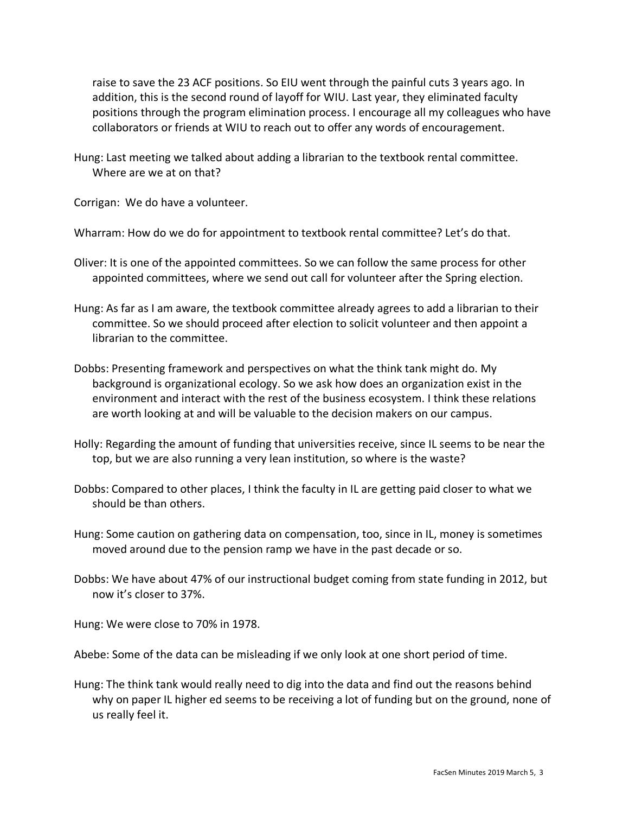raise to save the 23 ACF positions. So EIU went through the painful cuts 3 years ago. In addition, this is the second round of layoff for WIU. Last year, they eliminated faculty positions through the program elimination process. I encourage all my colleagues who have collaborators or friends at WIU to reach out to offer any words of encouragement.

Hung: Last meeting we talked about adding a librarian to the textbook rental committee. Where are we at on that?

Corrigan: We do have a volunteer.

Wharram: How do we do for appointment to textbook rental committee? Let's do that.

- Oliver: It is one of the appointed committees. So we can follow the same process for other appointed committees, where we send out call for volunteer after the Spring election.
- Hung: As far as I am aware, the textbook committee already agrees to add a librarian to their committee. So we should proceed after election to solicit volunteer and then appoint a librarian to the committee.
- Dobbs: Presenting framework and perspectives on what the think tank might do. My background is organizational ecology. So we ask how does an organization exist in the environment and interact with the rest of the business ecosystem. I think these relations are worth looking at and will be valuable to the decision makers on our campus.
- Holly: Regarding the amount of funding that universities receive, since IL seems to be near the top, but we are also running a very lean institution, so where is the waste?
- Dobbs: Compared to other places, I think the faculty in IL are getting paid closer to what we should be than others.
- Hung: Some caution on gathering data on compensation, too, since in IL, money is sometimes moved around due to the pension ramp we have in the past decade or so.
- Dobbs: We have about 47% of our instructional budget coming from state funding in 2012, but now it's closer to 37%.

Hung: We were close to 70% in 1978.

Abebe: Some of the data can be misleading if we only look at one short period of time.

Hung: The think tank would really need to dig into the data and find out the reasons behind why on paper IL higher ed seems to be receiving a lot of funding but on the ground, none of us really feel it.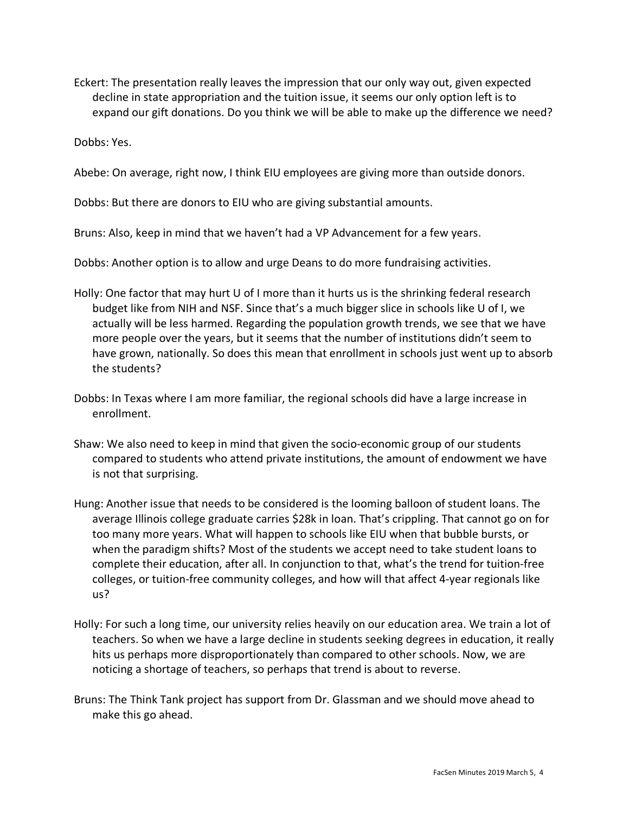Eckert: The presentation really leaves the impression that our only way out, given expected decline in state appropriation and the tuition issue, it seems our only option left is to expand our gift donations. Do you think we will be able to make up the difference we need?

Dobbs: Yes.

Abebe: On average, right now, I think EIU employees are giving more than outside donors.

Dobbs: But there are donors to EIU who are giving substantial amounts.

Bruns: Also, keep in mind that we haven't had a VP Advancement for a few years.

Dobbs: Another option is to allow and urge Deans to do more fundraising activities.

- Holly: One factor that may hurt U of I more than it hurts us is the shrinking federal research budget like from NIH and NSF. Since that's a much bigger slice in schools like U of I, we actually will be less harmed. Regarding the population growth trends, we see that we have more people over the years, but it seems that the number of institutions didn't seem to have grown, nationally. So does this mean that enrollment in schools just went up to absorb the students?
- Dobbs: In Texas where I am more familiar, the regional schools did have a large increase in enrollment.
- Shaw: We also need to keep in mind that given the socio-economic group of our students compared to students who attend private institutions, the amount of endowment we have is not that surprising.
- Hung: Another issue that needs to be considered is the looming balloon of student loans. The average Illinois college graduate carries \$28k in loan. That's crippling. That cannot go on for too many more years. What will happen to schools like EIU when that bubble bursts, or when the paradigm shifts? Most of the students we accept need to take student loans to complete their education, after all. In conjunction to that, what's the trend for tuition-free colleges, or tuition-free community colleges, and how will that affect 4-year regionals like us?
- Holly: For such a long time, our university relies heavily on our education area. We train a lot of teachers. So when we have a large decline in students seeking degrees in education, it really hits us perhaps more disproportionately than compared to other schools. Now, we are noticing a shortage of teachers, so perhaps that trend is about to reverse.
- Bruns: The Think Tank project has support from Dr. Glassman and we should move ahead to make this go ahead.